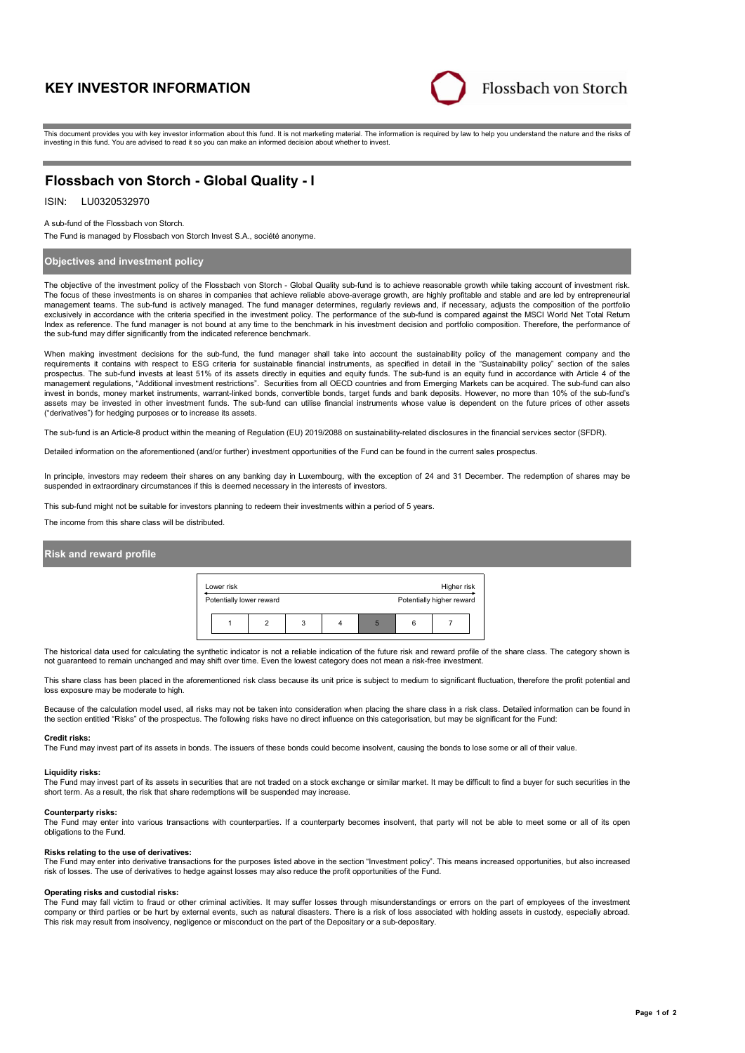# **KEY INVESTOR INFORMATION**



This document provides you with key investor information about this fund. It is not marketing material. The information is required by law to help you understand the nature and the risks of investing in this fund. You are advised to read it so you can make an informed decision about whether to invest.

# **Flossbach von Storch - Global Quality - I**

# ISIN: LU0320532970

#### A sub-fund of the Flossbach von Storch.

The Fund is managed by Flossbach von Storch Invest S.A., société anonyme.

# **Objectives and investment policy**

The objective of the investment policy of the Flossbach von Storch - Global Quality sub-fund is to achieve reasonable growth while taking account of investment risk. The focus of these investments is on shares in companies that achieve reliable above-average growth, are highly profitable and stable and are led by entrepreneurial management teams. The sub-fund is actively managed. The fund manager determines, regularly reviews and, if necessary, adjusts the composition of the portfolio exclusively in accordance with the criteria specified in the investment policy. The performance of the sub-fund is compared against the MSCI World Net Total Return Index as reference. The fund manager is not bound at any time to the benchmark in his investment decision and portfolio composition. Therefore, the performance of the sub-fund may differ significantly from the indicated reference benchmark.

When making investment decisions for the sub-fund, the fund manager shall take into account the sustainability policy of the management company and the requirements it contains with respect to ESG criteria for sustainable financial instruments, as specified in detail in the "Sustainability policy" section of the sales prospectus. The sub-fund invests at least 51% of its assets directly in equities and equity funds. The sub-fund is an equity fund in accordance with Article 4 of the<br>management regulations, "Additional investment restricti invest in bonds, money market instruments, warrant-linked bonds, convertible bonds, target funds and bank deposits. However, no more than 10% of the sub-fund's assets may be invested in other investment funds. The sub-fund can utilise financial instruments whose value is dependent on the future prices of other assets ("derivatives") for hedging purposes or to increase its assets.

The sub-fund is an Article-8 product within the meaning of Regulation (EU) 2019/2088 on sustainability-related disclosures in the financial services sector (SFDR).

Detailed information on the aforementioned (and/or further) investment opportunities of the Fund can be found in the current sales prospectus.

In principle, investors may redeem their shares on any banking day in Luxembourg, with the exception of 24 and 31 December. The redemption of shares may be suspended in extraordinary circumstances if this is deemed necessary in the interests of investors.

This sub-fund might not be suitable for investors planning to redeem their investments within a period of 5 years.

The income from this share class will be distributed.

# **Risk and reward profile**



The historical data used for calculating the synthetic indicator is not a reliable indication of the future risk and reward profile of the share class. The category shown is not guaranteed to remain unchanged and may shift over time. Even the lowest category does not mean a risk-free investment.

This share class has been placed in the aforementioned risk class because its unit price is subject to medium to significant fluctuation, therefore the profit potential and loss exposure may be moderate to high.

Because of the calculation model used, all risks may not be taken into consideration when placing the share class in a risk class. Detailed information can be found in the section entitled "Risks" of the prospectus. The following risks have no direct influence on this categorisation, but may be significant for the Fund:

#### **Credit risks:**

The Fund may invest part of its assets in bonds. The issuers of these bonds could become insolvent, causing the bonds to lose some or all of their value.

#### **Liquidity risks:**

The Fund may invest part of its assets in securities that are not traded on a stock exchange or similar market. It may be difficult to find a buyer for such securities in the short term. As a result, the risk that share redemptions will be suspended may increase.

#### **Counterparty risks:**

The Fund may enter into various transactions with counterparties. If a counterparty becomes insolvent, that party will not be able to meet some or all of its open obligations to the Fund.

#### **Risks relating to the use of derivatives:**

The Fund may enter into derivative transactions for the purposes listed above in the section "Investment policy". This means increased opportunities, but also increased risk of losses. The use of derivatives to hedge against losses may also reduce the profit opportunities of the Fund.

#### **Operating risks and custodial risks:**

The Fund may fall victim to fraud or other criminal activities. It may suffer losses through misunderstandings or errors on the part of employees of the investment company or third parties or be hurt by external events, such as natural disasters. There is a risk of loss associated with holding assets in custody, especially abroad. This risk may result from insolvency, negligence or misconduct on the part of the Depositary or a sub-depositary.